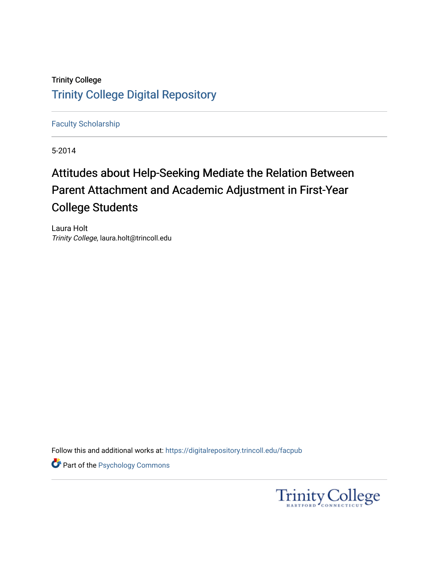## Trinity College [Trinity College Digital Repository](https://digitalrepository.trincoll.edu/)

[Faculty Scholarship](https://digitalrepository.trincoll.edu/facpub)

5-2014

# Attitudes about Help-Seeking Mediate the Relation Between Parent Attachment and Academic Adjustment in First-Year College Students

Laura Holt Trinity College, laura.holt@trincoll.edu

Follow this and additional works at: [https://digitalrepository.trincoll.edu/facpub](https://digitalrepository.trincoll.edu/facpub?utm_source=digitalrepository.trincoll.edu%2Ffacpub%2F119&utm_medium=PDF&utm_campaign=PDFCoverPages) 

**Part of the Psychology Commons** 

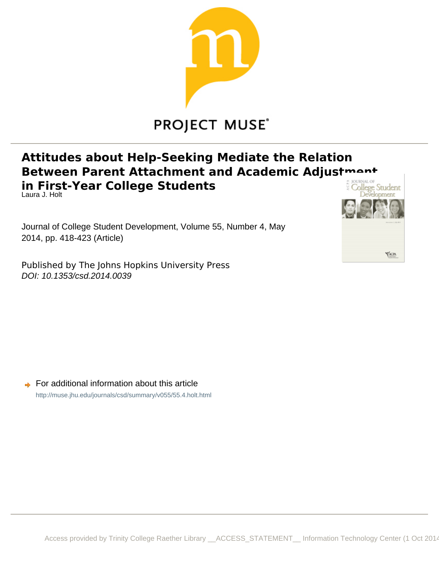

# **PROJECT MUSE®**

## **Attitudes about Help-Seeking Mediate the Relation Between Parent Attachment and Academic Adjustmant In First-Year College Students** Laura J. Holt

Journal of College Student Development, Volume 55, Number 4, May 2014, pp. 418-423 (Article)

Published by The Johns Hopkins University Press DOI: 10.1353/csd.2014.0039



**■** For additional information about this article <http://muse.jhu.edu/journals/csd/summary/v055/55.4.holt.html>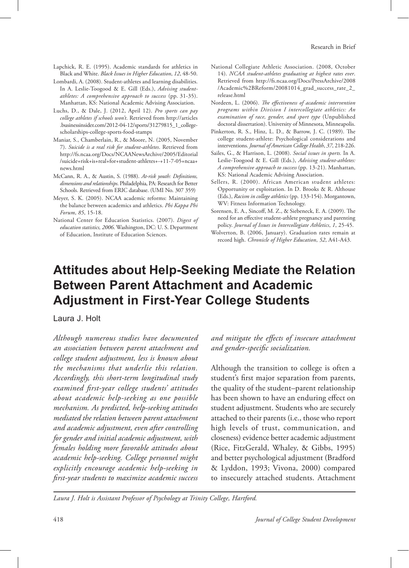- Lapchick, R. E. (1995). Academic standards for athletics in Black and White. *Black Issues in Higher Education*, *12*, 48-50.
- Lombardi, A. (2008). Student-athletes and learning disabilities. In A. Leslie-Toogood & E. Gill (Eds.), *Advising studentathletes: A comprehensive approach to success* (pp. 31-35). Manhattan, KS: National Academic Advising Association.
- Luchs, D., & Dale, J. (2012, April 12). *Pro sports can pay college athletes if schools won't*. Retrieved from http://articles .businessinsider.com/2012-04-12/sports/31279815\_1\_collegescholarships-college-sports-food-stamps
- Maniar, S., Chamberlain, R., & Moore, N. (2005, November 7). *Suicide is a real risk for student-athletes*. Retrieved from http://fs.ncaa.org/Docs/NCAANewsArchive/2005/Editorial /suicide+risk+is+real+for+student-athletes+-+11-7-05+ncaa+ news.html
- McCann, R. A., & Austin, S. (1988). *At-risk youth: Definitions, dimensions and relationships*. Philadelphia, PA: Research for Better Schools. Retrieved from ERIC database. (UMI No. 307 359)
- Meyer, S. K. (2005). NCAA academic reforms: Maintaining the balance between academics and athletics. *Phi Kappa Phi Forum*, *85*, 15-18.
- National Center for Education Statistics. (2007). *Digest of education statistics, 2006*. Washington, DC: U. S. Department of Education, Institute of Education Sciences.
- National Collegiate Athletic Association. (2008, October 14). *NCAA student-athletes graduating at highest rates ever*. Retrieved from http://fs.ncaa.org/Docs/PressArchive/2008 /Academic%2BReform/20081014\_grad\_success\_rate\_2\_ release.html
- Nordeen, L. (2006). *The effectiveness of academic intervention programs within Division I intercollegiate athletics: An examination of race, gender, and sport type* (Unpublished doctoral dissertation). University of Minnesota, Minneapolis.
- Pinkerton, R. S., Hinz, L. D., & Barrow, J. C. (1989). The college student-athlete: Psychological considerations and interventions. *Journal of American College Health*, *37*, 218-226.
- Sailes, G., & Harrison, L. (2008). *Social issues in sports.* In A. Leslie-Toogood & E. Gill (Eds.), *Advising student-athletes: A comprehensive approach to success* (pp. 13-21). Manhattan, KS: National Academic Advising Association.
- Sellers, R. (2000). African American student athletes: Opportunity or exploitation. In D. Brooks & R. Althouse (Eds.), *Racism in college athletics* (pp. 133-154). Morgantown, WV: Fitness Information Technology.
- Sorensen, E. A., Sincoff, M. Z., & Siebeneck, E. A. (2009). The need for an effective student-athlete pregnancy and parenting policy. *Journal of Issues in Intercollegiate Athletics*, *1*, 25-45.
- Wolverton, B. (2006, January). Graduation rates remain at record high. *Chronicle of Higher Education*, *52*, A41-A43.

## **Attitudes about Help-Seeking Mediate the Relation Between Parent Attachment and Academic Adjustment in First-Year College Students**

#### Laura J. Holt

*Although numerous studies have documented an association between parent attachment and college student adjustment, less is known about the mechanisms that underlie this relation. Accordingly, this short-term longitudinal study examined first-year college students' attitudes about academic help-seeking as one possible mechanism. As predicted, help-seeking attitudes mediated the relation between parent attachment and academic adjustment, even after controlling for gender and initial academic adjustment, with females holding more favorable attitudes about academic help-seeking. College personnel might explicitly encourage academic help-seeking in first-year students to maximize academic success* 

*and mitigate the effects of insecure attachment and gender-specific socialization.* 

Although the transition to college is often a student's first major separation from parents, the quality of the student–parent relationship has been shown to have an enduring effect on student adjustment. Students who are securely attached to their parents (i.e., those who report high levels of trust, communication, and closeness) evidence better academic adjustment (Rice, FitzGerald, Whaley, & Gibbs, 1995) and better psychological adjustment (Bradford & Lyddon, 1993; Vivona, 2000) compared to insecurely attached students. Attachment

*Laura J. Holt is Assistant Professor of Psychology at Trinity College, Hartford.*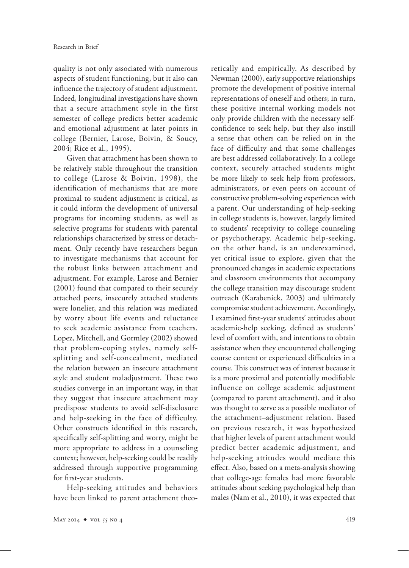quality is not only associated with numerous aspects of student functioning, but it also can influence the trajectory of student adjustment. Indeed, longitudinal investigations have shown that a secure attachment style in the first semester of college predicts better academic and emotional adjustment at later points in college (Bernier, Larose, Boivin, & Soucy, 2004; Rice et al., 1995).

Given that attachment has been shown to be relatively stable throughout the transition to college (Larose & Boivin, 1998), the identification of mechanisms that are more proximal to student adjustment is critical, as it could inform the development of universal programs for incoming students, as well as selective programs for students with parental relationships characterized by stress or detachment. Only recently have researchers begun to investigate mechanisms that account for the robust links between attachment and adjustment. For example, Larose and Bernier (2001) found that compared to their securely attached peers, insecurely attached students were lonelier, and this relation was mediated by worry about life events and reluctance to seek academic assistance from teachers. Lopez, Mitchell, and Gormley (2002) showed that problem-coping styles, namely selfsplitting and self-concealment, mediated the relation between an insecure attachment style and student maladjustment. These two studies converge in an important way, in that they suggest that insecure attachment may predispose students to avoid self-disclosure and help-seeking in the face of difficulty. Other constructs identified in this research, specifically self-splitting and worry, might be more appropriate to address in a counseling context; however, help-seeking could be readily addressed through supportive programming for first-year students.

Help-seeking attitudes and behaviors have been linked to parent attachment theo-

retically and empirically. As described by Newman (2000), early supportive relationships promote the development of positive internal representations of oneself and others; in turn, these positive internal working models not only provide children with the necessary selfconfidence to seek help, but they also instill a sense that others can be relied on in the face of difficulty and that some challenges are best addressed collaboratively. In a college context, securely attached students might be more likely to seek help from professors, administrators, or even peers on account of constructive problem-solving experiences with a parent. Our understanding of help-seeking in college students is, however, largely limited to students' receptivity to college counseling or psychotherapy. Academic help-seeking, on the other hand, is an underexamined, yet critical issue to explore, given that the pronounced changes in academic expectations and classroom environments that accompany the college transition may discourage student outreach (Karabenick, 2003) and ultimately compromise student achievement. Accordingly, I examined first-year students' attitudes about academic-help seeking, defined as students' level of comfort with, and intentions to obtain assistance when they encountered challenging course content or experienced difficulties in a course. This construct was of interest because it is a more proximal and potentially modifiable influence on college academic adjustment (compared to parent attachment), and it also was thought to serve as a possible mediator of the attachment–adjustment relation. Based on previous research, it was hypothesized that higher levels of parent attachment would predict better academic adjustment, and help-seeking attitudes would mediate this effect. Also, based on a meta-analysis showing that college-age females had more favorable attitudes about seeking psychological help than males (Nam et al., 2010), it was expected that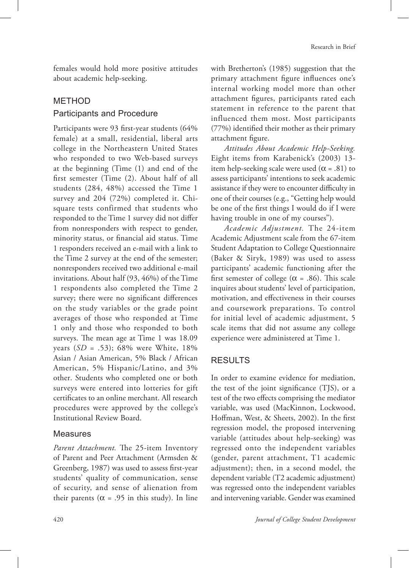females would hold more positive attitudes about academic help-seeking.

## **METHOD** Participants and Procedure

Participants were 93 first-year students (64% female) at a small, residential, liberal arts college in the Northeastern United States who responded to two Web-based surveys at the beginning (Time (1) and end of the first semester (Time (2). About half of all students (284, 48%) accessed the Time 1 survey and 204 (72%) completed it. Chisquare tests confirmed that students who responded to the Time 1 survey did not differ from nonresponders with respect to gender, minority status, or financial aid status. Time 1 responders received an e-mail with a link to the Time 2 survey at the end of the semester; nonresponders received two additional e-mail invitations. About half (93, 46%) of the Time 1 respondents also completed the Time 2 survey; there were no significant differences on the study variables or the grade point averages of those who responded at Time 1 only and those who responded to both surveys. The mean age at Time 1 was 18.09 years (*SD* = .53); 68% were White, 18% Asian / Asian American, 5% Black / African American, 5% Hispanic/Latino, and 3% other. Students who completed one or both surveys were entered into lotteries for gift certificates to an online merchant. All research procedures were approved by the college's Institutional Review Board.

### Measures

*Parent Attachment.* The 25-item Inventory of Parent and Peer Attachment (Armsden & Greenberg, 1987) was used to assess first-year students' quality of communication, sense of security, and sense of alienation from their parents ( $\alpha$  = .95 in this study). In line

with Bretherton's (1985) suggestion that the primary attachment figure influences one's internal working model more than other attachment figures, participants rated each statement in reference to the parent that influenced them most. Most participants (77%) identified their mother as their primary attachment figure.

*Attitudes About Academic Help-Seeking.* Eight items from Karabenick's (2003) 13 item help-seeking scale were used ( $\alpha$  = .81) to assess participants' intentions to seek academic assistance if they were to encounter difficulty in one of their courses (e.g., "Getting help would be one of the first things I would do if I were having trouble in one of my courses").

*Academic Adjustment.* The 24-item Academic Adjustment scale from the 67-item Student Adaptation to College Questionnaire (Baker & Siryk, 1989) was used to assess participants' academic functioning after the first semester of college ( $\alpha$  = .86). This scale inquires about students' level of participation, motivation, and effectiveness in their courses and coursework preparations. To control for initial level of academic adjustment, 5 scale items that did not assume any college experience were administered at Time 1.

## **RESULTS**

In order to examine evidence for mediation, the test of the joint significance (TJS), or a test of the two effects comprising the mediator variable, was used (MacKinnon, Lockwood, Hoffman, West, & Sheets, 2002). In the first regression model, the proposed intervening variable (attitudes about help-seeking) was regressed onto the independent variables (gender, parent attachment, T1 academic adjustment); then, in a second model, the dependent variable (T2 academic adjustment) was regressed onto the independent variables and intervening variable. Gender was examined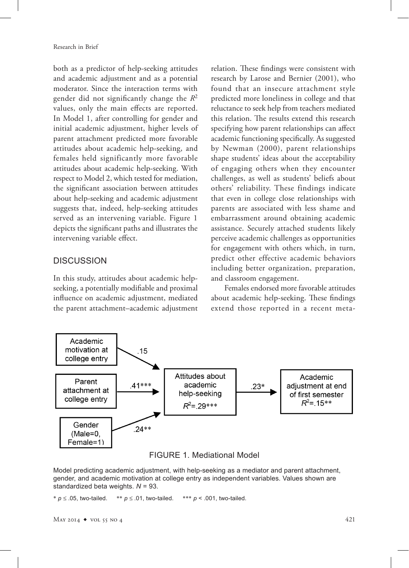both as a predictor of help-seeking attitudes and academic adjustment and as a potential moderator. Since the interaction terms with gender did not significantly change the *R*<sup>2</sup> values, only the main effects are reported. In Model 1, after controlling for gender and initial academic adjustment, higher levels of parent attachment predicted more favorable attitudes about academic help-seeking, and females held significantly more favorable attitudes about academic help-seeking. With respect to Model 2, which tested for mediation, the significant association between attitudes about help-seeking and academic adjustment suggests that, indeed, help-seeking attitudes served as an intervening variable. Figure 1 depicts the significant paths and illustrates the intervening variable effect.

### **DISCUSSION**

In this study, attitudes about academic helpseeking, a potentially modifiable and proximal influence on academic adjustment, mediated the parent attachment–academic adjustment relation. These findings were consistent with research by Larose and Bernier (2001), who found that an insecure attachment style predicted more loneliness in college and that reluctance to seek help from teachers mediated this relation. The results extend this research specifying how parent relationships can affect academic functioning specifically. As suggested by Newman (2000), parent relationships shape students' ideas about the acceptability of engaging others when they encounter challenges, as well as students' beliefs about others' reliability. These findings indicate that even in college close relationships with parents are associated with less shame and embarrassment around obtaining academic assistance. Securely attached students likely perceive academic challenges as opportunities for engagement with others which, in turn, predict other effective academic behaviors including better organization, preparation, and classroom engagement.

Females endorsed more favorable attitudes about academic help-seeking. These findings extend those reported in a recent meta-





Model predicting academic adjustment, with help-seeking as a mediator and parent attachment, gender, and academic motivation at college entry as independent variables. Values shown are standardized beta weights. *N* = 93.

\* *p* ≤ .05, two-tailed. \*\* *p* ≤ .01, two-tailed. \*\*\* *p* < .001, two-tailed.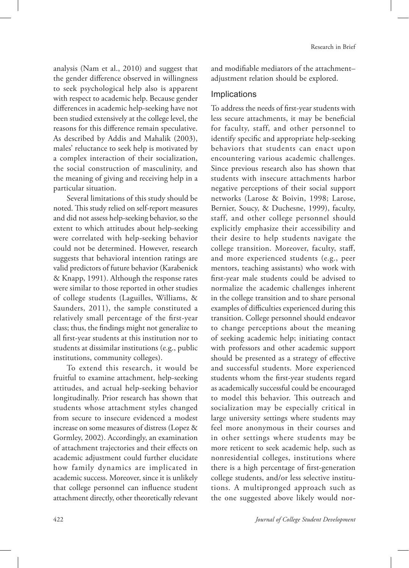analysis (Nam et al., 2010) and suggest that the gender difference observed in willingness to seek psychological help also is apparent with respect to academic help. Because gender differences in academic help-seeking have not been studied extensively at the college level, the reasons for this difference remain speculative. As described by Addis and Mahalik (2003), males' reluctance to seek help is motivated by a complex interaction of their socialization, the social construction of masculinity, and the meaning of giving and receiving help in a particular situation.

Several limitations of this study should be noted. This study relied on self-report measures and did not assess help-seeking behavior, so the extent to which attitudes about help-seeking were correlated with help-seeking behavior could not be determined. However, research suggests that behavioral intention ratings are valid predictors of future behavior (Karabenick & Knapp, 1991). Although the response rates were similar to those reported in other studies of college students (Laguilles, Williams, & Saunders, 2011), the sample constituted a relatively small percentage of the first-year class; thus, the findings might not generalize to all first-year students at this institution nor to students at dissimilar institutions (e.g., public institutions, community colleges).

To extend this research, it would be fruitful to examine attachment, help-seeking attitudes, and actual help-seeking behavior longitudinally. Prior research has shown that students whose attachment styles changed from secure to insecure evidenced a modest increase on some measures of distress (Lopez & Gormley, 2002). Accordingly, an examination of attachment trajectories and their effects on academic adjustment could further elucidate how family dynamics are implicated in academic success. Moreover, since it is unlikely that college personnel can influence student attachment directly, other theoretically relevant

and modifiable mediators of the attachment– adjustment relation should be explored.

#### Implications

To address the needs of first-year students with less secure attachments, it may be beneficial for faculty, staff, and other personnel to identify specific and appropriate help-seeking behaviors that students can enact upon encountering various academic challenges. Since previous research also has shown that students with insecure attachments harbor negative perceptions of their social support networks (Larose & Boivin, 1998; Larose, Bernier, Soucy, & Duchesne, 1999), faculty, staff, and other college personnel should explicitly emphasize their accessibility and their desire to help students navigate the college transition. Moreover, faculty, staff, and more experienced students (e.g., peer mentors, teaching assistants) who work with first-year male students could be advised to normalize the academic challenges inherent in the college transition and to share personal examples of difficulties experienced during this transition. College personnel should endeavor to change perceptions about the meaning of seeking academic help; initiating contact with professors and other academic support should be presented as a strategy of effective and successful students. More experienced students whom the first-year students regard as academically successful could be encouraged to model this behavior. This outreach and socialization may be especially critical in large university settings where students may feel more anonymous in their courses and in other settings where students may be more reticent to seek academic help, such as nonresidential colleges, institutions where there is a high percentage of first-generation college students, and/or less selective institutions. A multipronged approach such as the one suggested above likely would nor